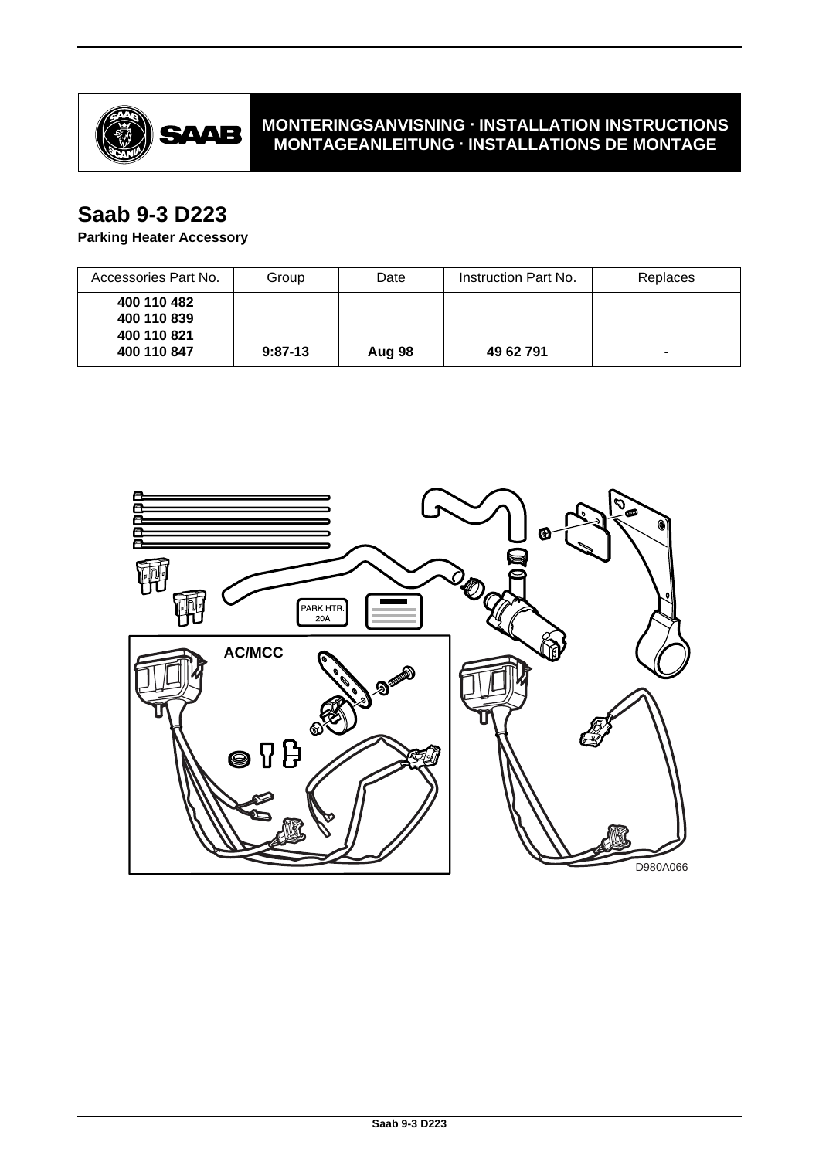

## **MONTERINGSANVISNING · INSTALLATION INSTRUCTIONS MONTAGEANLEITUNG · INSTALLATIONS DE MONTAGE**

# **Saab 9-3 D223**

## **Parking Heater Accessory**

| Accessories Part No.       | Group     | Date   | Instruction Part No. | Replaces |
|----------------------------|-----------|--------|----------------------|----------|
| 400 110 482<br>400 110 839 |           |        |                      |          |
| 400 110 821<br>400 110 847 | $9:87-13$ | Aug 98 | 49 62 791            |          |

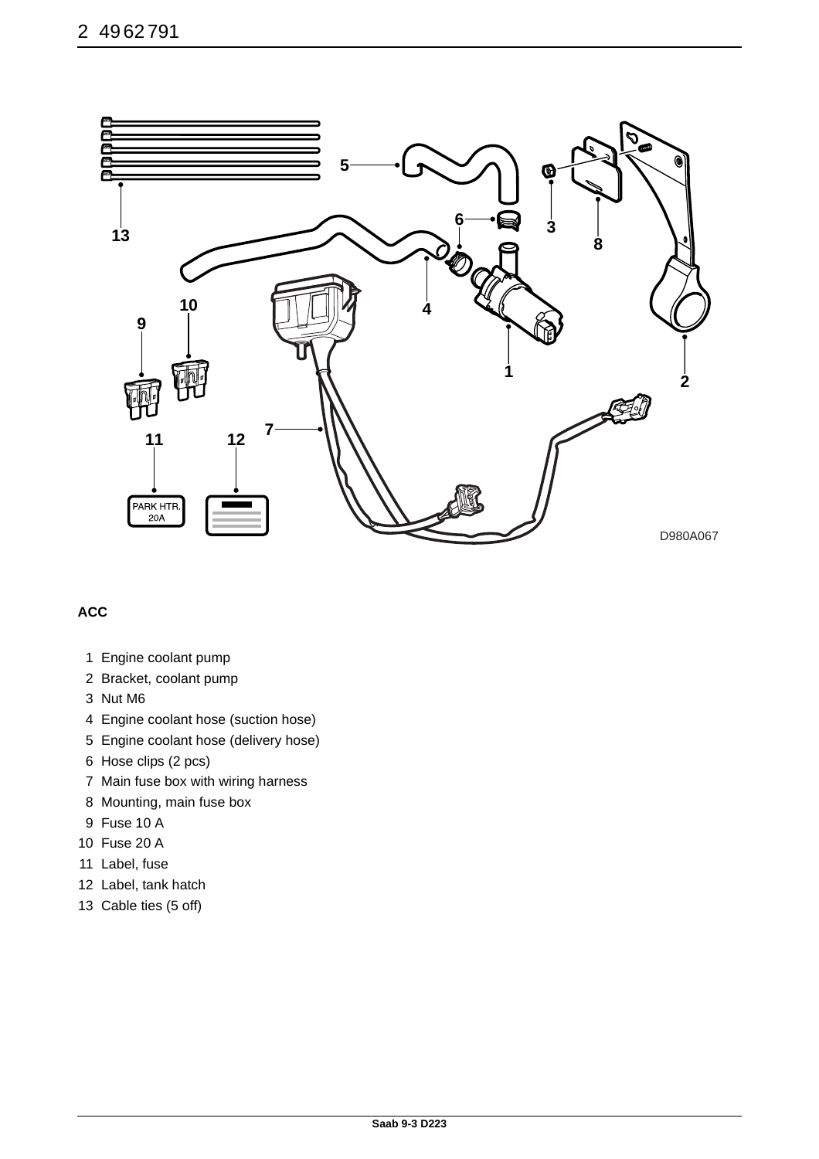

## **ACC**

- 1 Engine coolant pump
- 2 Bracket, coolant pump
- 3 Nut M6
- 4 Engine coolant hose (suction hose)
- 5 Engine coolant hose (delivery hose)
- 6 Hose clips (2 pcs)
- 7 Main fuse box with wiring harness
- 8 Mounting, main fuse box
- 9 Fuse 10 A
- 10 Fuse 20 A
- 11 Label, fuse
- 12 Label, tank hatch
- 13 Cable ties (5 off)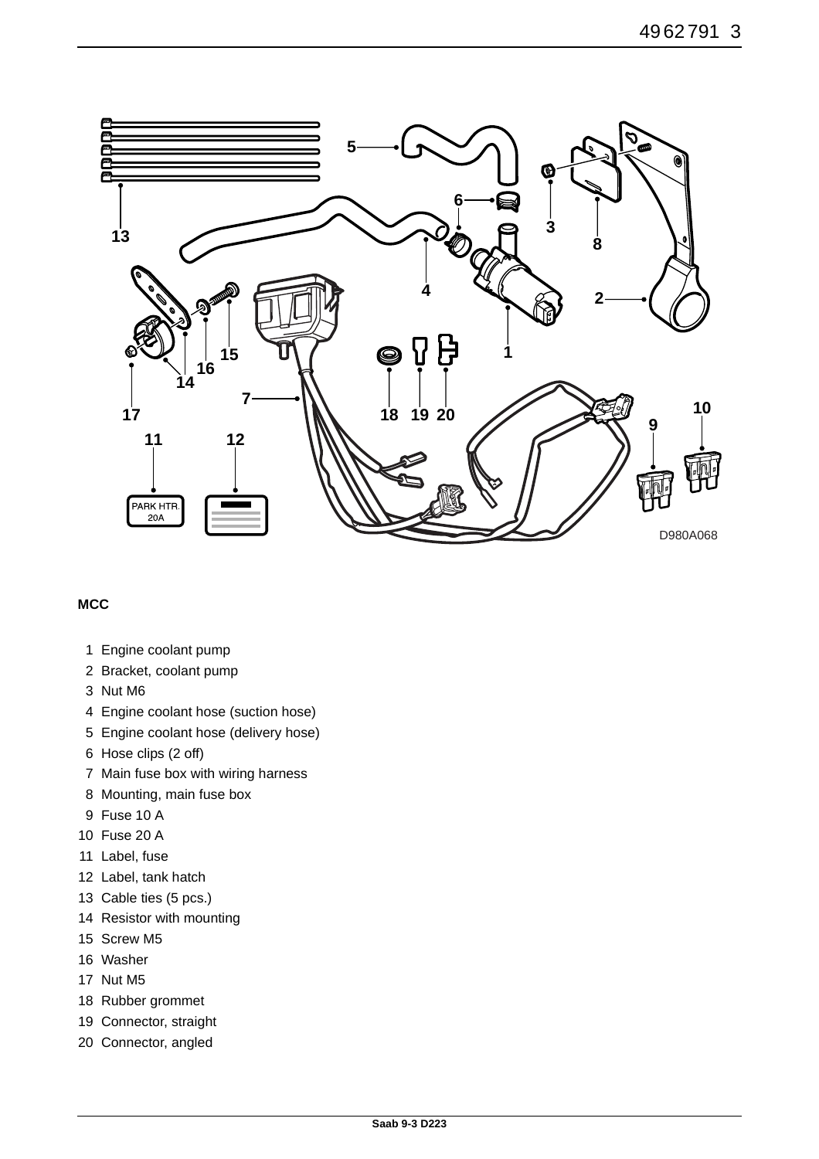

### **MCC**

- 1 Engine coolant pump
- 2 Bracket, coolant pump
- 3 Nut M6
- 4 Engine coolant hose (suction hose)
- 5 Engine coolant hose (delivery hose)
- 6 Hose clips (2 off)
- 7 Main fuse box with wiring harness
- 8 Mounting, main fuse box
- 9 Fuse 10 A
- 10 Fuse 20 A
- 11 Label, fuse
- 12 Label, tank hatch
- 13 Cable ties (5 pcs.)
- 14 Resistor with mounting
- 15 Screw M5
- 16 Washer
- 17 Nut M5
- 18 Rubber grommet
- 19 Connector, straight
- 20 Connector, angled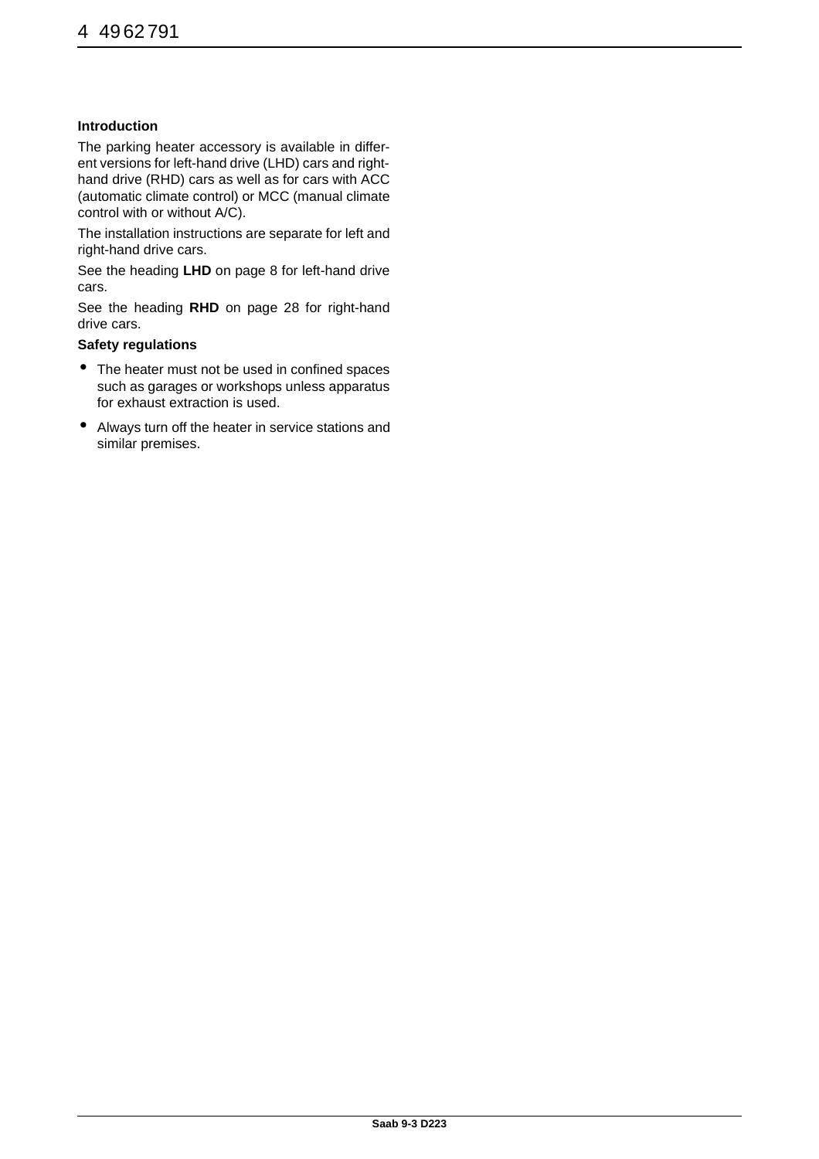### **Introduction**

The parking heater accessory is available in different versions for left-hand drive (LHD) cars and righthand drive (RHD) cars as well as for cars with ACC (automatic climate control) or MCC (manual climate control with or without A/C).

The installation instructions are separate for left and right-hand drive cars.

See the heading **LHD** on page 8 for left-hand drive cars.

See the heading **RHD** on page 28 for right-hand drive cars.

#### **Safety regulations**

- The heater must not be used in confined spaces such as garages or workshops unless apparatus for exhaust extraction is used.
- Always turn off the heater in service stations and similar premises.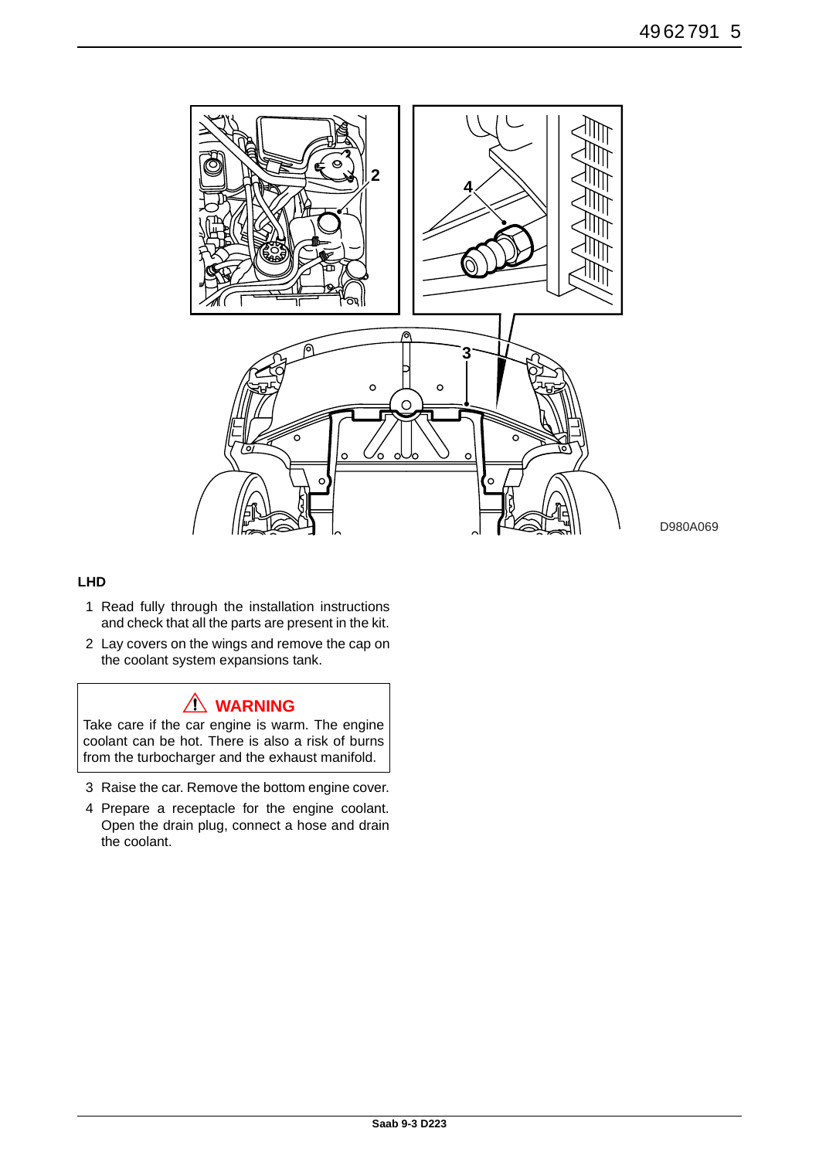

### **LHD**

- 1 Read fully through the installation instructions and check that all the parts are present in the kit.
- 2 Lay covers on the wings and remove the cap on the coolant system expansions tank.

## **WARNING**

Take care if the car engine is warm. The engine coolant can be hot. There is also a risk of burns from the turbocharger and the exhaust manifold.

- 3 Raise the car. Remove the bottom engine cover.
- 4 Prepare a receptacle for the engine coolant. Open the drain plug, connect a hose and drain the coolant.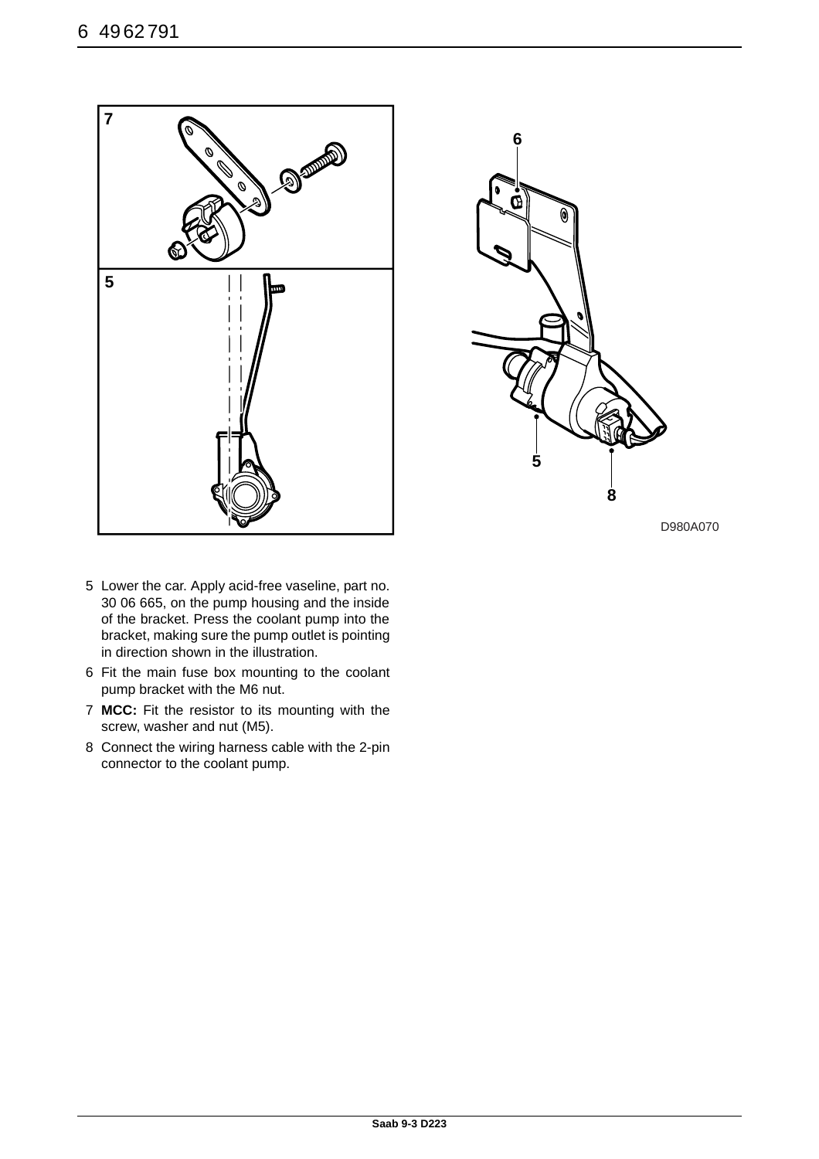



- 5 Lower the car. Apply acid-free vaseline, part no. 30 06 665, on the pump housing and the inside of the bracket. Press the coolant pump into the bracket, making sure the pump outlet is pointing in direction shown in the illustration.
- 6 Fit the main fuse box mounting to the coolant pump bracket with the M6 nut.
- 7 **MCC:** Fit the resistor to its mounting with the screw, washer and nut (M5).
- 8 Connect the wiring harness cable with the 2-pin connector to the coolant pump.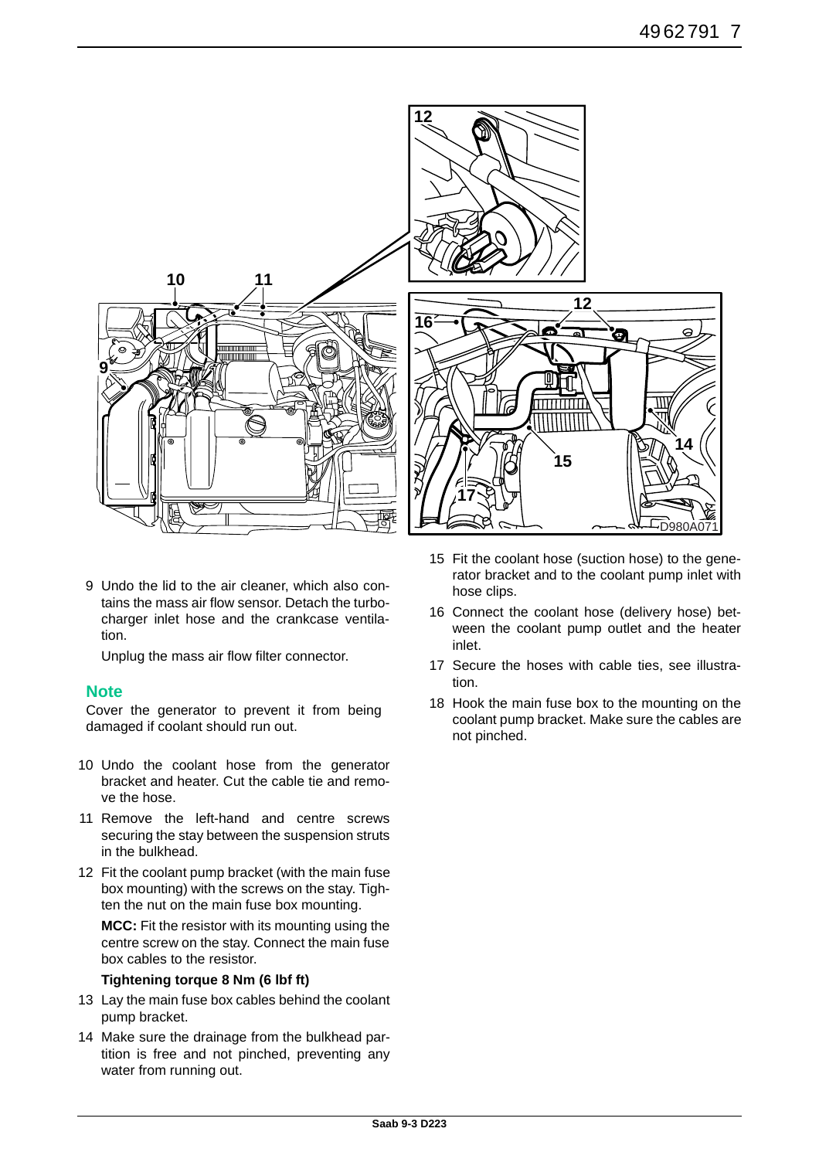

9 Undo the lid to the air cleaner, which also contains the mass air flow sensor. Detach the turbocharger inlet hose and the crankcase ventilation.

Unplug the mass air flow filter connector.

## **Note**

Cover the generator to prevent it from being damaged if coolant should run out.

- 10 Undo the coolant hose from the generator bracket and heater. Cut the cable tie and remove the hose.
- 11 Remove the left-hand and centre screws securing the stay between the suspension struts in the bulkhead.
- 12 Fit the coolant pump bracket (with the main fuse box mounting) with the screws on the stay. Tighten the nut on the main fuse box mounting.

**MCC:** Fit the resistor with its mounting using the centre screw on the stay. Connect the main fuse box cables to the resistor.

### **Tightening torque 8 Nm (6 lbf ft)**

- 13 Lay the main fuse box cables behind the coolant pump bracket.
- 14 Make sure the drainage from the bulkhead partition is free and not pinched, preventing any water from running out.
- 15 Fit the coolant hose (suction hose) to the generator bracket and to the coolant pump inlet with hose clips.
- 16 Connect the coolant hose (delivery hose) between the coolant pump outlet and the heater inlet.
- 17 Secure the hoses with cable ties, see illustration.
- 18 Hook the main fuse box to the mounting on the coolant pump bracket. Make sure the cables are not pinched.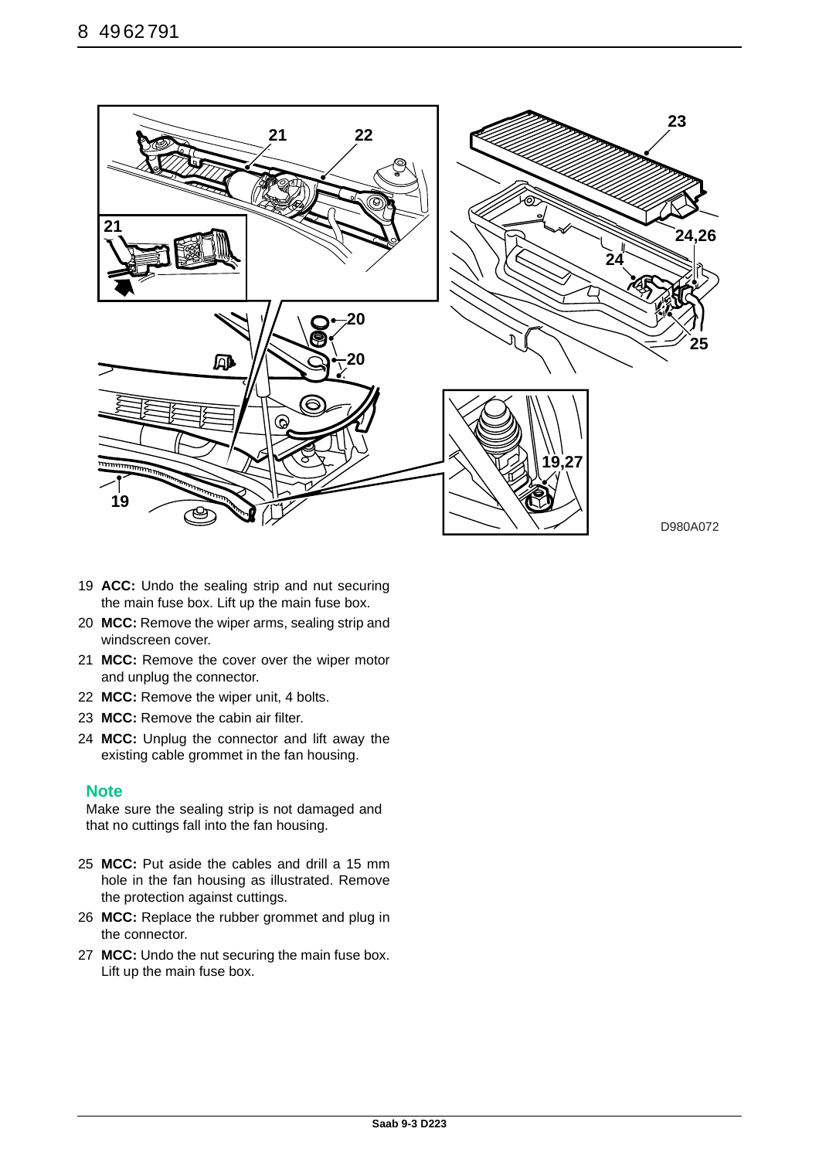![](_page_7_Picture_1.jpeg)

- 19 **ACC:** Undo the sealing strip and nut securing the main fuse box. Lift up the main fuse box.
- 20 **MCC:** Remove the wiper arms, sealing strip and windscreen cover.
- 21 **MCC:** Remove the cover over the wiper motor and unplug the connector.
- 22 **MCC:** Remove the wiper unit, 4 bolts.
- 23 **MCC:** Remove the cabin air filter.
- 24 **MCC:** Unplug the connector and lift away the existing cable grommet in the fan housing.

## **Note**

Make sure the sealing strip is not damaged and that no cuttings fall into the fan housing.

- 25 **MCC:** Put aside the cables and drill a 15 mm hole in the fan housing as illustrated. Remove the protection against cuttings.
- 26 **MCC:** Replace the rubber grommet and plug in the connector.
- 27 **MCC:** Undo the nut securing the main fuse box. Lift up the main fuse box.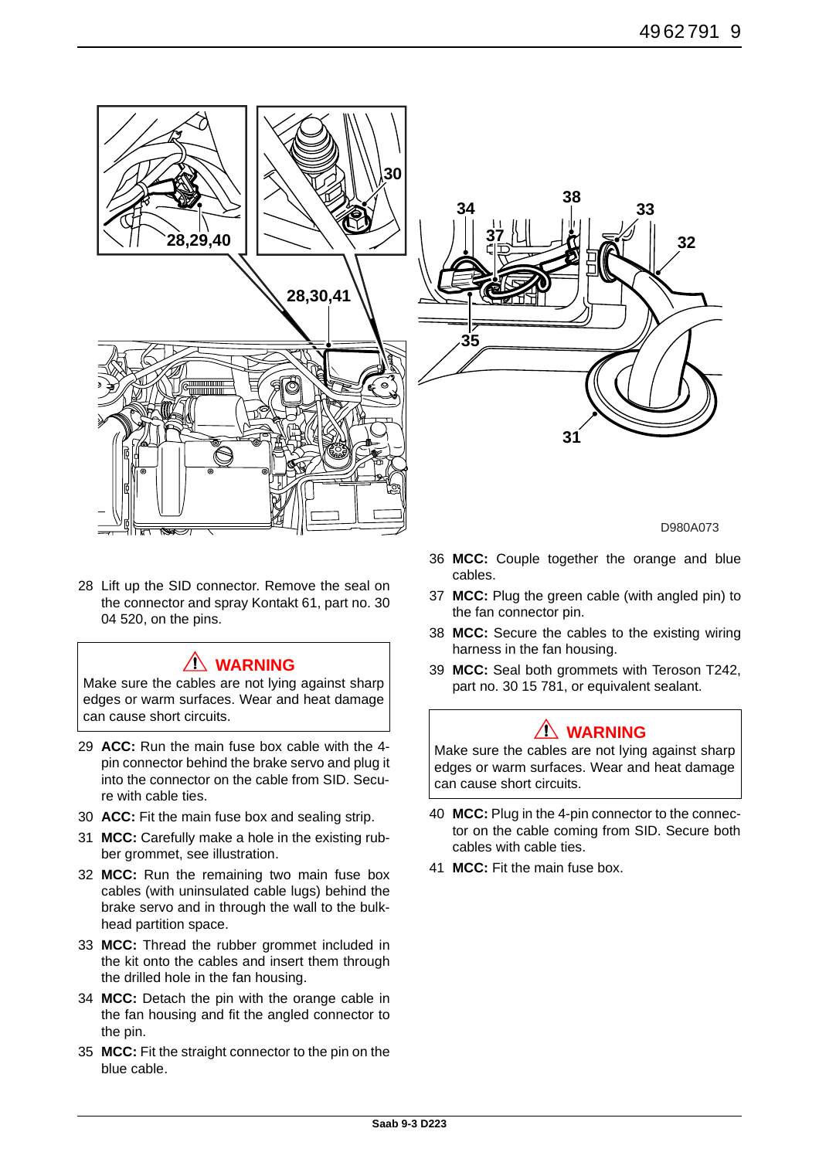![](_page_8_Picture_1.jpeg)

28 Lift up the SID connector. Remove the seal on the connector and spray Kontakt 61, part no. 30 04 520, on the pins.

# **WARNING**

Make sure the cables are not lying against sharp edges or warm surfaces. Wear and heat damage can cause short circuits.

- 29 **ACC:** Run the main fuse box cable with the 4 pin connector behind the brake servo and plug it into the connector on the cable from SID. Secure with cable ties.
- 30 **ACC:** Fit the main fuse box and sealing strip.
- 31 **MCC:** Carefully make a hole in the existing rubber grommet, see illustration.
- 32 **MCC:** Run the remaining two main fuse box cables (with uninsulated cable lugs) behind the brake servo and in through the wall to the bulkhead partition space.
- 33 **MCC:** Thread the rubber grommet included in the kit onto the cables and insert them through the drilled hole in the fan housing.
- 34 **MCC:** Detach the pin with the orange cable in the fan housing and fit the angled connector to the pin.
- 35 **MCC:** Fit the straight connector to the pin on the blue cable.

![](_page_8_Figure_12.jpeg)

D980A073

- 36 **MCC:** Couple together the orange and blue cables.
- 37 **MCC:** Plug the green cable (with angled pin) to the fan connector pin.
- 38 **MCC:** Secure the cables to the existing wiring harness in the fan housing.
- 39 **MCC:** Seal both grommets with Teroson T242, part no. 30 15 781, or equivalent sealant.

# **WARNING**

Make sure the cables are not lying against sharp edges or warm surfaces. Wear and heat damage can cause short circuits.

- 40 **MCC:** Plug in the 4-pin connector to the connector on the cable coming from SID. Secure both cables with cable ties.
- 41 **MCC:** Fit the main fuse box.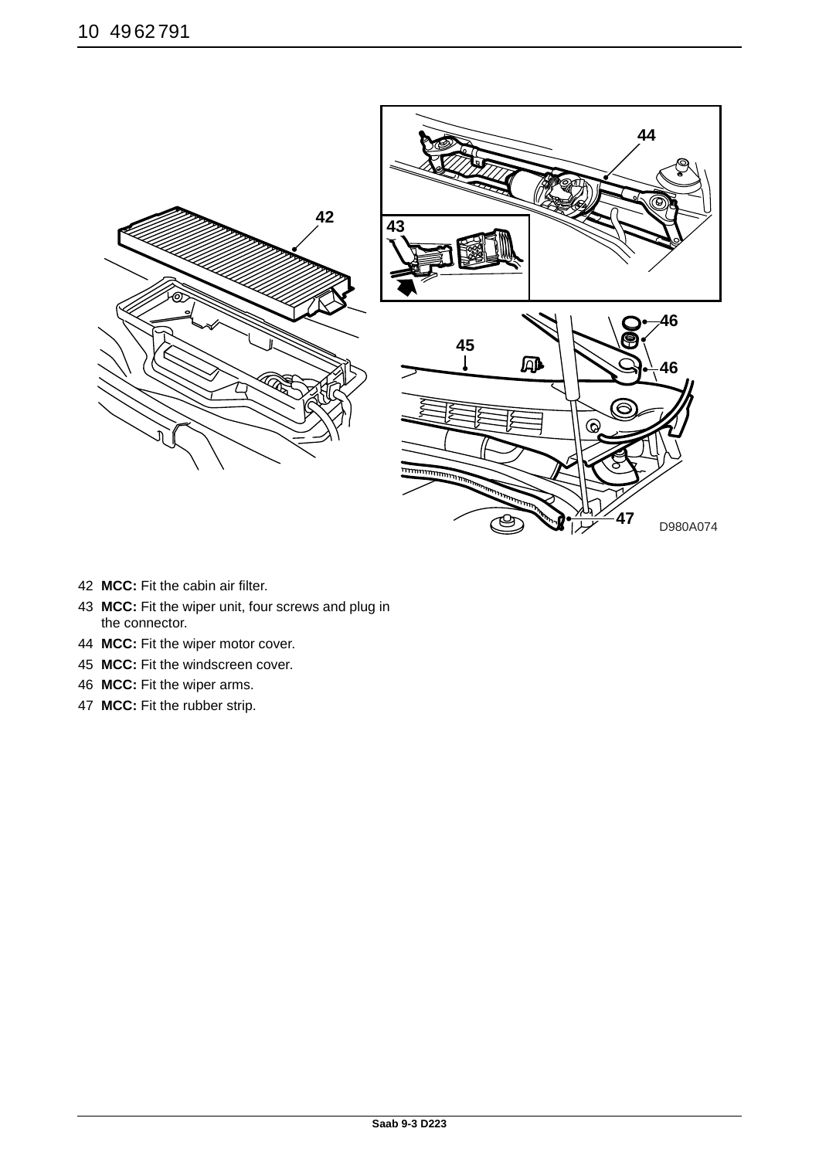![](_page_9_Figure_1.jpeg)

- **MCC:** Fit the cabin air filter.
- **MCC:** Fit the wiper unit, four screws and plug in the connector.
- **MCC:** Fit the wiper motor cover.
- **MCC:** Fit the windscreen cover.
- **MCC:** Fit the wiper arms.
- **MCC:** Fit the rubber strip.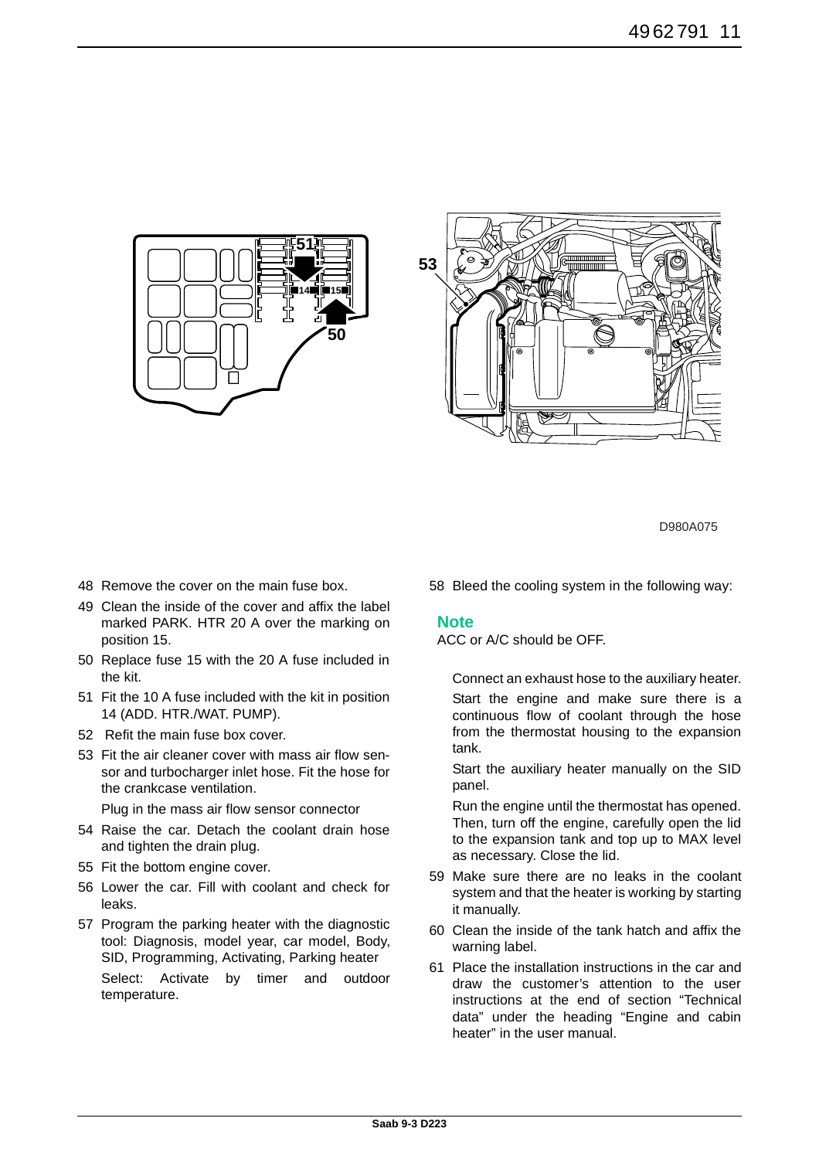![](_page_10_Figure_1.jpeg)

![](_page_10_Figure_2.jpeg)

- 48 Remove the cover on the main fuse box.
- 49 Clean the inside of the cover and affix the label marked PARK. HTR 20 A over the marking on position 15.
- 50 Replace fuse 15 with the 20 A fuse included in the kit.
- 51 Fit the 10 A fuse included with the kit in position 14 (ADD. HTR./WAT. PUMP).
- 52 Refit the main fuse box cover.
- 53 Fit the air cleaner cover with mass air flow sensor and turbocharger inlet hose. Fit the hose for the crankcase ventilation.

Plug in the mass air flow sensor connector

- 54 Raise the car. Detach the coolant drain hose and tighten the drain plug.
- 55 Fit the bottom engine cover.
- 56 Lower the car. Fill with coolant and check for leaks.
- 57 Program the parking heater with the diagnostic tool: Diagnosis, model year, car model, Body, SID, Programming, Activating, Parking heater Select: Activate by timer and outdoor temperature.

58 Bleed the cooling system in the following way:

#### **Note**

ACC or A/C should be OFF.

Connect an exhaust hose to the auxiliary heater.

Start the engine and make sure there is a continuous flow of coolant through the hose from the thermostat housing to the expansion tank.

Start the auxiliary heater manually on the SID panel.

Run the engine until the thermostat has opened. Then, turn off the engine, carefully open the lid to the expansion tank and top up to MAX level as necessary. Close the lid.

- 59 Make sure there are no leaks in the coolant system and that the heater is working by starting it manually.
- 60 Clean the inside of the tank hatch and affix the warning label.
- 61 Place the installation instructions in the car and draw the customer's attention to the user instructions at the end of section "Technical data" under the heading "Engine and cabin heater" in the user manual.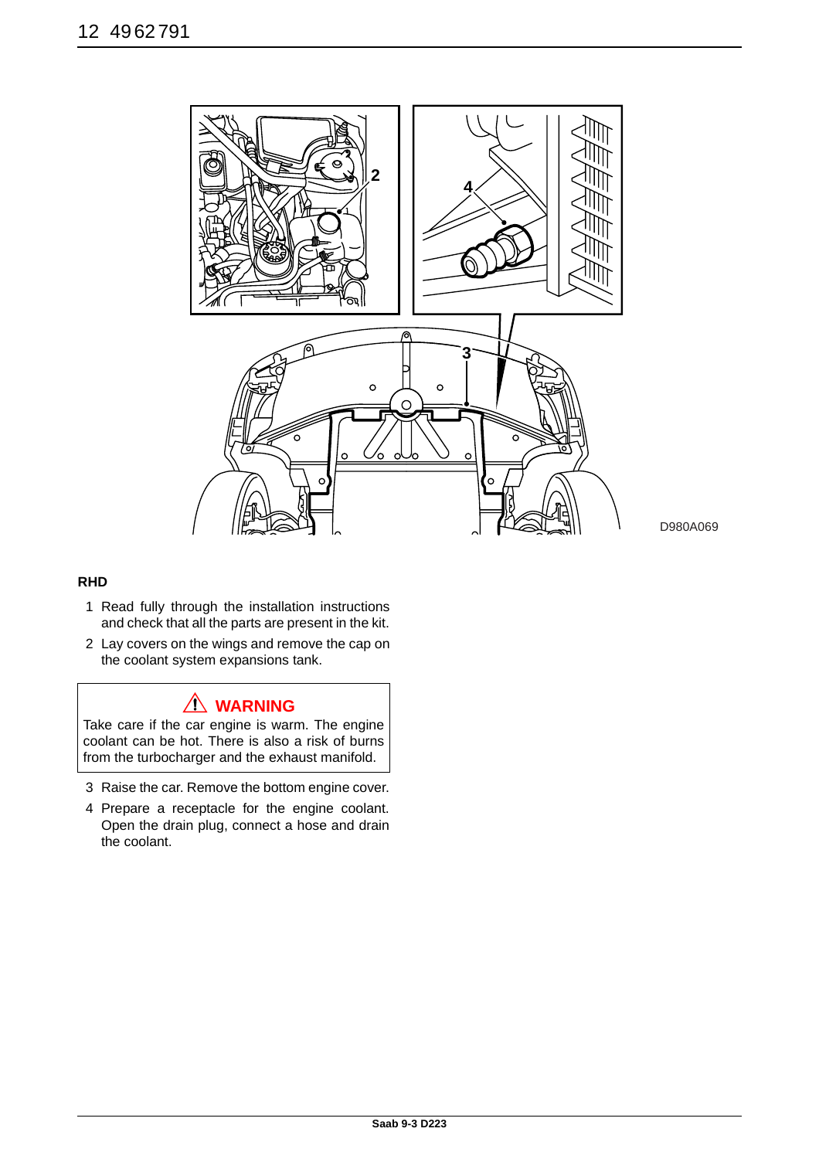![](_page_11_Picture_1.jpeg)

### **RHD**

- 1 Read fully through the installation instructions and check that all the parts are present in the kit.
- 2 Lay covers on the wings and remove the cap on the coolant system expansions tank.

## **WARNING**

Take care if the car engine is warm. The engine coolant can be hot. There is also a risk of burns from the turbocharger and the exhaust manifold.

- 3 Raise the car. Remove the bottom engine cover.
- 4 Prepare a receptacle for the engine coolant. Open the drain plug, connect a hose and drain the coolant.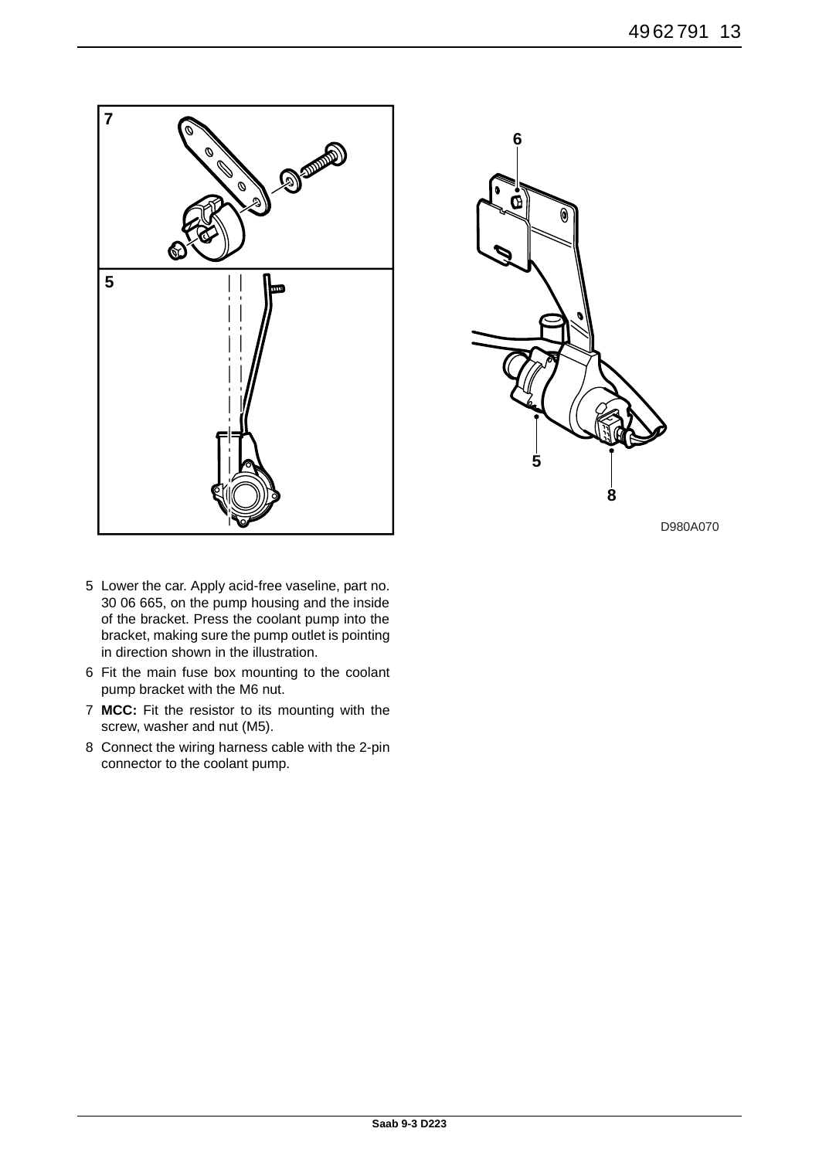![](_page_12_Figure_1.jpeg)

![](_page_12_Figure_2.jpeg)

- 5 Lower the car. Apply acid-free vaseline, part no. 30 06 665, on the pump housing and the inside of the bracket. Press the coolant pump into the bracket, making sure the pump outlet is pointing in direction shown in the illustration.
- 6 Fit the main fuse box mounting to the coolant pump bracket with the M6 nut.
- 7 **MCC:** Fit the resistor to its mounting with the screw, washer and nut (M5).
- 8 Connect the wiring harness cable with the 2-pin connector to the coolant pump.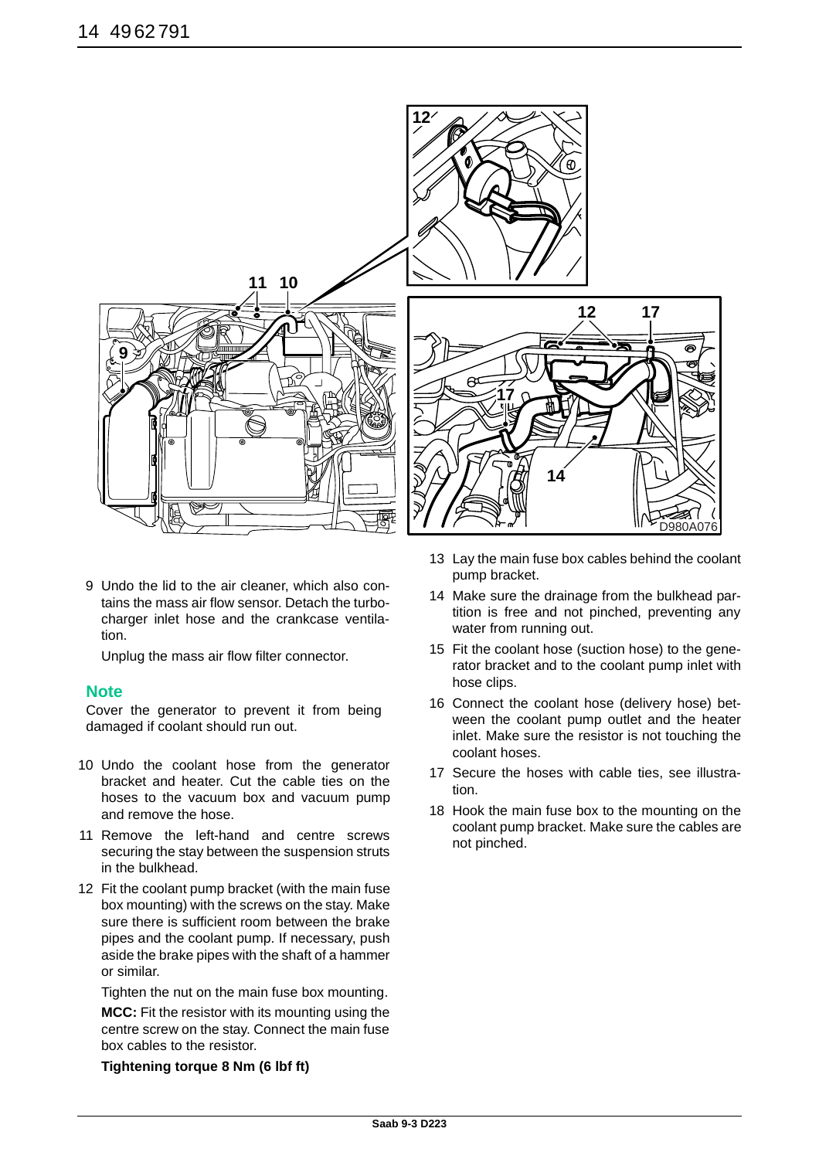![](_page_13_Picture_1.jpeg)

9 Undo the lid to the air cleaner, which also contains the mass air flow sensor. Detach the turbocharger inlet hose and the crankcase ventilation.

Unplug the mass air flow filter connector.

### **Note**

Cover the generator to prevent it from being damaged if coolant should run out.

- 10 Undo the coolant hose from the generator bracket and heater. Cut the cable ties on the hoses to the vacuum box and vacuum pump and remove the hose.
- 11 Remove the left-hand and centre screws securing the stay between the suspension struts in the bulkhead.
- 12 Fit the coolant pump bracket (with the main fuse box mounting) with the screws on the stay. Make sure there is sufficient room between the brake pipes and the coolant pump. If necessary, push aside the brake pipes with the shaft of a hammer or similar.

Tighten the nut on the main fuse box mounting.

**MCC:** Fit the resistor with its mounting using the centre screw on the stay. Connect the main fuse box cables to the resistor.

**Tightening torque 8 Nm (6 lbf ft)**

- 13 Lay the main fuse box cables behind the coolant pump bracket.
- 14 Make sure the drainage from the bulkhead partition is free and not pinched, preventing any water from running out.
- 15 Fit the coolant hose (suction hose) to the generator bracket and to the coolant pump inlet with hose clips.
- 16 Connect the coolant hose (delivery hose) between the coolant pump outlet and the heater inlet. Make sure the resistor is not touching the coolant hoses.
- 17 Secure the hoses with cable ties, see illustration.
- 18 Hook the main fuse box to the mounting on the coolant pump bracket. Make sure the cables are not pinched.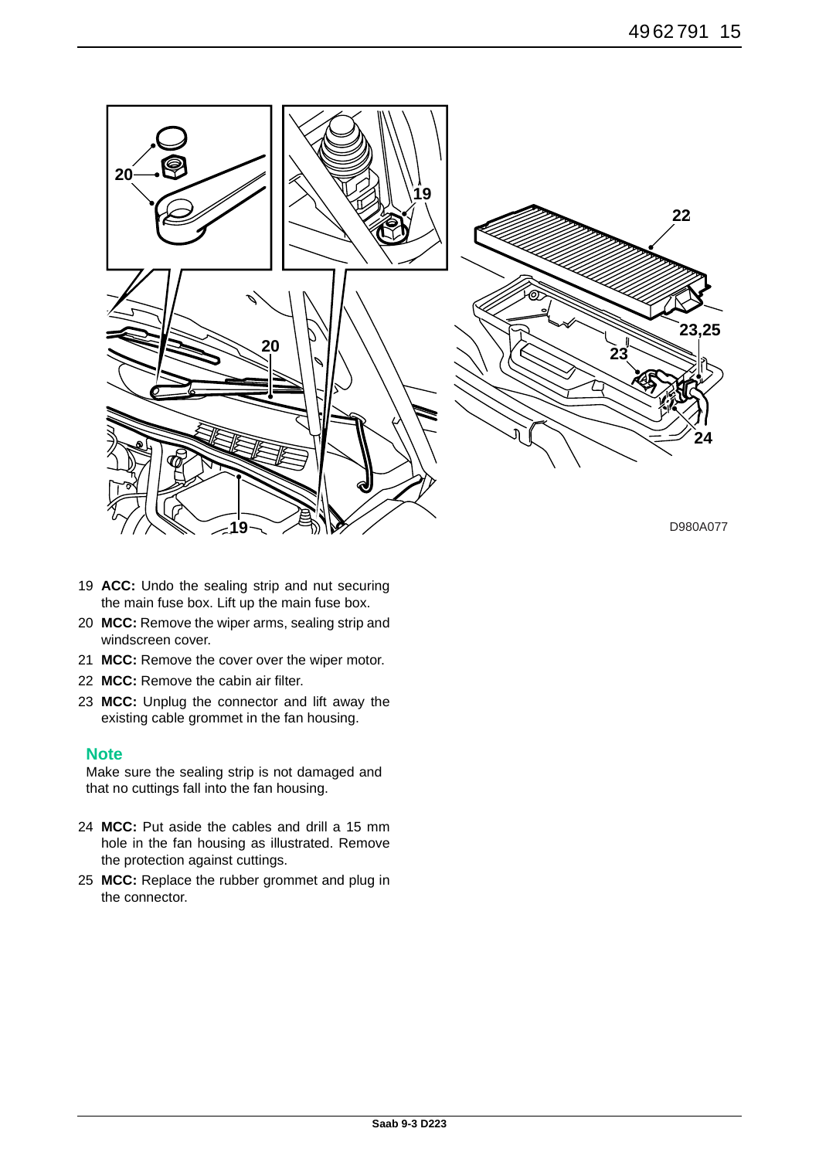![](_page_14_Figure_1.jpeg)

- 19 **ACC:** Undo the sealing strip and nut securing the main fuse box. Lift up the main fuse box.
- 20 **MCC:** Remove the wiper arms, sealing strip and windscreen cover.
- 21 **MCC:** Remove the cover over the wiper motor.
- 22 **MCC:** Remove the cabin air filter.
- 23 **MCC:** Unplug the connector and lift away the existing cable grommet in the fan housing.

### **Note**

Make sure the sealing strip is not damaged and that no cuttings fall into the fan housing.

- 24 **MCC:** Put aside the cables and drill a 15 mm hole in the fan housing as illustrated. Remove the protection against cuttings.
- 25 **MCC:** Replace the rubber grommet and plug in the connector.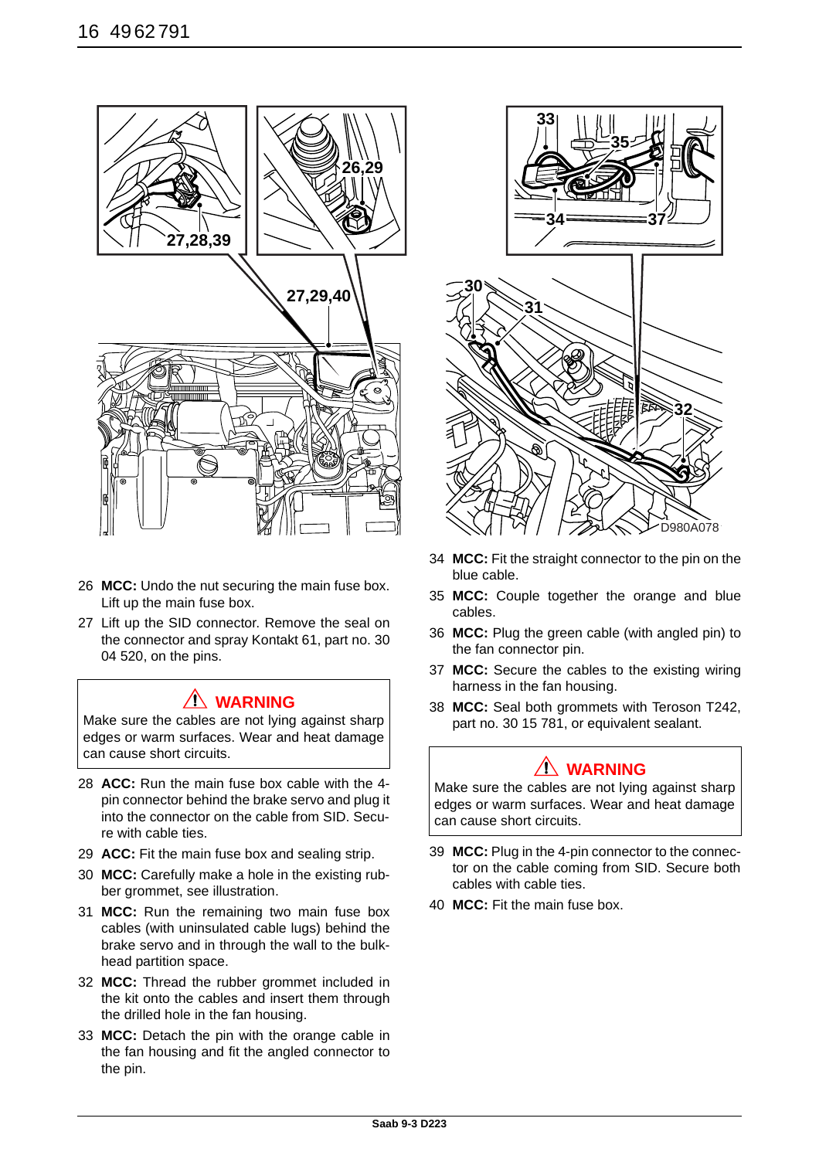![](_page_15_Picture_1.jpeg)

- 26 **MCC:** Undo the nut securing the main fuse box. Lift up the main fuse box.
- 27 Lift up the SID connector. Remove the seal on the connector and spray Kontakt 61, part no. 30 04 520, on the pins.

## **WARNING**

Make sure the cables are not lying against sharp edges or warm surfaces. Wear and heat damage can cause short circuits.

- 28 **ACC:** Run the main fuse box cable with the 4 pin connector behind the brake servo and plug it into the connector on the cable from SID. Secure with cable ties.
- 29 **ACC:** Fit the main fuse box and sealing strip.
- 30 **MCC:** Carefully make a hole in the existing rubber grommet, see illustration.
- 31 **MCC:** Run the remaining two main fuse box cables (with uninsulated cable lugs) behind the brake servo and in through the wall to the bulkhead partition space.
- 32 **MCC:** Thread the rubber grommet included in the kit onto the cables and insert them through the drilled hole in the fan housing.
- 33 **MCC:** Detach the pin with the orange cable in the fan housing and fit the angled connector to the pin.

![](_page_15_Picture_12.jpeg)

- 34 **MCC:** Fit the straight connector to the pin on the blue cable.
- 35 **MCC:** Couple together the orange and blue cables.
- 36 **MCC:** Plug the green cable (with angled pin) to the fan connector pin.
- 37 **MCC:** Secure the cables to the existing wiring harness in the fan housing.
- 38 **MCC:** Seal both grommets with Teroson T242, part no. 30 15 781, or equivalent sealant.

# **WARNING**

Make sure the cables are not lying against sharp edges or warm surfaces. Wear and heat damage can cause short circuits.

- 39 **MCC:** Plug in the 4-pin connector to the connector on the cable coming from SID. Secure both cables with cable ties.
- 40 **MCC:** Fit the main fuse box.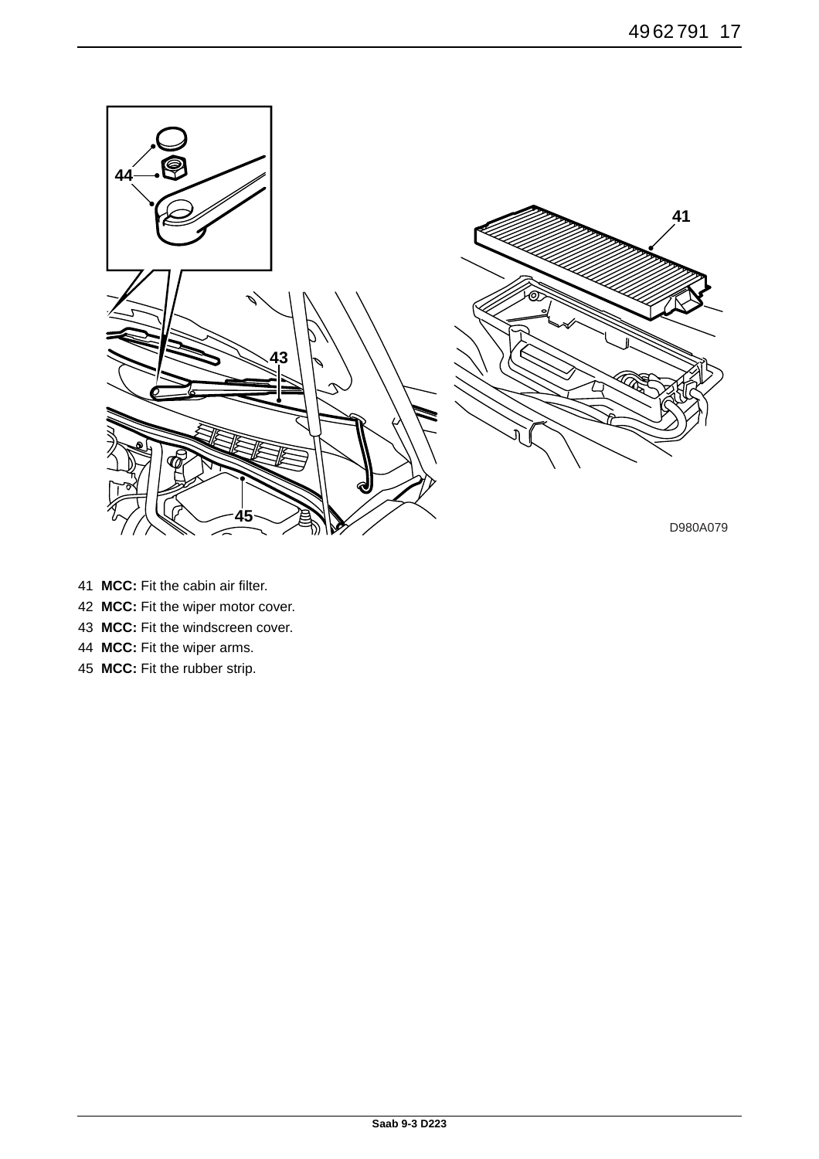![](_page_16_Picture_1.jpeg)

- **MCC:** Fit the cabin air filter.
- **MCC:** Fit the wiper motor cover.
- **MCC:** Fit the windscreen cover.
- **MCC:** Fit the wiper arms.
- **MCC:** Fit the rubber strip.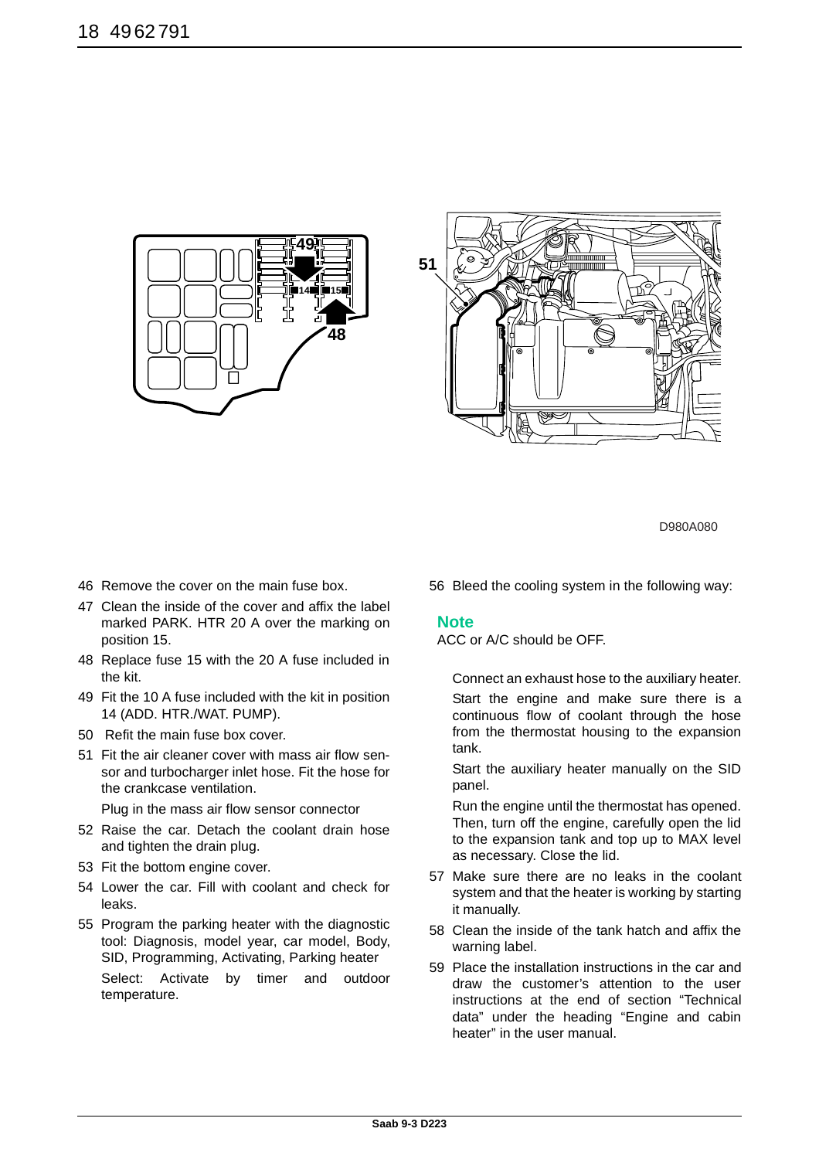![](_page_17_Picture_1.jpeg)

![](_page_17_Figure_2.jpeg)

- 46 Remove the cover on the main fuse box.
- 47 Clean the inside of the cover and affix the label marked PARK. HTR 20 A over the marking on position 15.
- 48 Replace fuse 15 with the 20 A fuse included in the kit.
- 49 Fit the 10 A fuse included with the kit in position 14 (ADD. HTR./WAT. PUMP).
- 50 Refit the main fuse box cover.
- 51 Fit the air cleaner cover with mass air flow sensor and turbocharger inlet hose. Fit the hose for the crankcase ventilation.

Plug in the mass air flow sensor connector

- 52 Raise the car. Detach the coolant drain hose and tighten the drain plug.
- 53 Fit the bottom engine cover.
- 54 Lower the car. Fill with coolant and check for leaks.
- 55 Program the parking heater with the diagnostic tool: Diagnosis, model year, car model, Body, SID, Programming, Activating, Parking heater Select: Activate by timer and outdoor temperature.

56 Bleed the cooling system in the following way:

### **Note**

ACC or A/C should be OFF.

Connect an exhaust hose to the auxiliary heater.

Start the engine and make sure there is a continuous flow of coolant through the hose from the thermostat housing to the expansion tank.

Start the auxiliary heater manually on the SID panel.

Run the engine until the thermostat has opened. Then, turn off the engine, carefully open the lid to the expansion tank and top up to MAX level as necessary. Close the lid.

- 57 Make sure there are no leaks in the coolant system and that the heater is working by starting it manually.
- 58 Clean the inside of the tank hatch and affix the warning label.
- 59 Place the installation instructions in the car and draw the customer's attention to the user instructions at the end of section "Technical data" under the heading "Engine and cabin heater" in the user manual.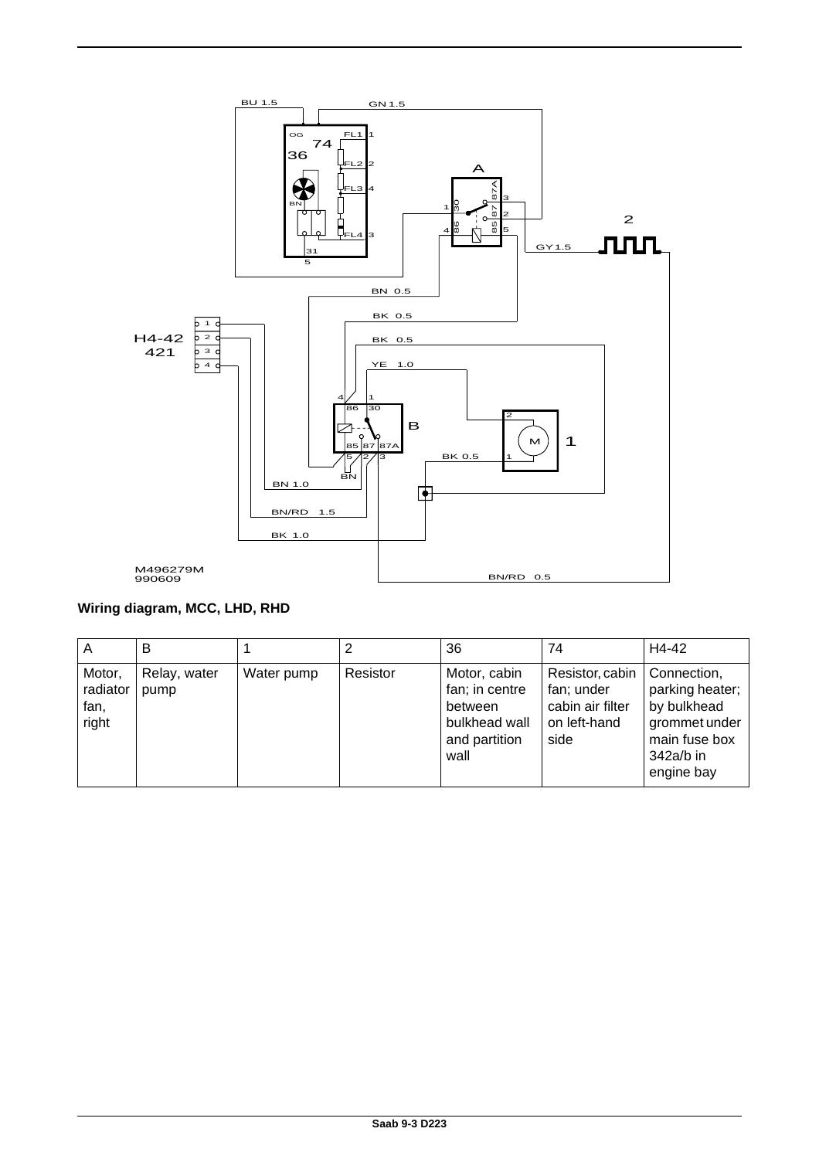![](_page_18_Figure_0.jpeg)

## **Wiring diagram, MCC, LHD, RHD**

| A                                   | В                    |            |          | 36                                                                                  | 74                                                                        | H4-42                                                                                                      |
|-------------------------------------|----------------------|------------|----------|-------------------------------------------------------------------------------------|---------------------------------------------------------------------------|------------------------------------------------------------------------------------------------------------|
| Motor,<br>radiator<br>fan,<br>right | Relay, water<br>pump | Water pump | Resistor | Motor, cabin<br>fan; in centre<br>between<br>bulkhead wall<br>and partition<br>wall | Resistor, cabin<br>fan; under<br>cabin air filter<br>on left-hand<br>side | Connection,<br>parking heater;<br>by bulkhead<br>grommet under<br>main fuse box<br>342a/b in<br>engine bay |